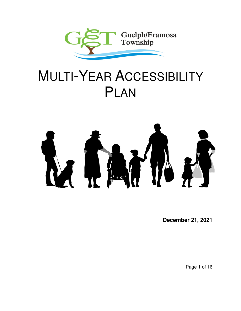

# MULTI-YEAR ACCESSIBILITY PLAN



**December 21, 2021** 

Page 1 of 16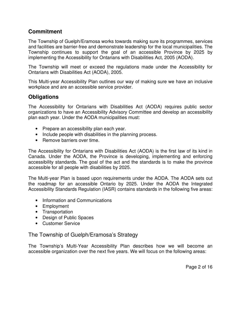# **Commitment**

The Township of Guelph/Eramosa works towards making sure its programmes, services and facilities are barrier-free and demonstrate leadership for the local municipalities. The Township continues to support the goal of an accessible Province by 2025 by implementing the Accessibility for Ontarians with Disabilities Act, 2005 (AODA).

The Township will meet or exceed the regulations made under the Accessibility for Ontarians with Disabilities Act (AODA), 2005.

This Multi-year Accessibility Plan outlines our way of making sure we have an inclusive workplace and are an accessible service provider.

# **Obligations**

The Accessibility for Ontarians with Disabilities Act (AODA) requires public sector organizations to have an Accessibility Advisory Committee and develop an accessibility plan each year. Under the AODA municipalities must:

- Prepare an accessibility plan each year.
- Include people with disabilities in the planning process.
- Remove barriers over time.

The Accessibility for Ontarians with Disabilities Act (AODA) is the first law of its kind in Canada. Under the AODA, the Province is developing, implementing and enforcing accessibility standards. The goal of the act and the standards is to make the province accessible for all people with disabilities by 2025.

The Multi-year Plan is based upon requirements under the AODA. The AODA sets out the roadmap for an accessible Ontario by 2025. Under the AODA the Integrated Accessibility Standards Regulation (IASR) contains standards in the following five areas:

- Information and Communications
- Employment
- Transportation
- Design of Public Spaces
- Customer Service

# The Township of Guelph/Eramosa's Strategy

The Township's Multi-Year Accessibility Plan describes how we will become an accessible organization over the next five years. We will focus on the following areas: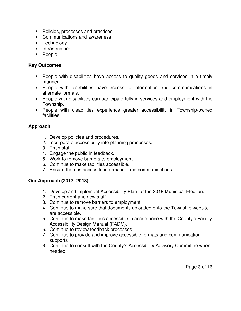- Policies, processes and practices
- Communications and awareness
- Technology
- Infrastructure
- People

## **Key Outcomes**

- People with disabilities have access to quality goods and services in a timely manner.
- People with disabilities have access to information and communications in alternate formats.
- People with disabilities can participate fully in services and employment with the Township.
- People with disabilities experience greater accessibility in Township-owned facilities

## **Approach**

- 1. Develop policies and procedures.
- 2. Incorporate accessibility into planning processes.
- 3. Train staff.
- 4. Engage the public in feedback.
- 5. Work to remove barriers to employment.
- 6. Continue to make facilities accessible.
- 7. Ensure there is access to information and communications.

## **Our Approach (2017- 2018)**

- 1. Develop and implement Accessibility Plan for the 2018 Municipal Election.
- 2. Train current and new staff.
- 3. Continue to remove barriers to employment.
- 4. Continue to make sure that documents uploaded onto the Township website are accessible.
- 5. Continue to make facilities accessible in accordance with the County's Facility Accessibility Design Manual (FADM).
- 6. Continue to review feedback processes
- 7. Continue to provide and improve accessible formats and communication supports
- 8. Continue to consult with the County's Accessibility Advisory Committee when needed.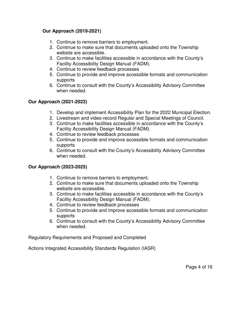## **Our Approach (2019-2021)**

- 1. Continue to remove barriers to employment.
- 2. Continue to make sure that documents uploaded onto the Township website are accessible.
- 3. Continue to make facilities accessible in accordance with the County's Facility Accessibility Design Manual (FADM).
- 4. Continue to review feedback processes
- 5. Continue to provide and improve accessible formats and communication supports
- 6. Continue to consult with the County's Accessibility Advisory Committee when needed.

## **Our Approach (2021-2023)**

- 1. Develop and implement Accessibility Plan for the 2022 Municipal Election.
- 2. Livestream and video-record Regular and Special Meetings of Council.
- 3. Continue to make facilities accessible in accordance with the County's Facility Accessibility Design Manual (FADM).
- 4. Continue to review feedback processes
- 5. Continue to provide and improve accessible formats and communication supports
- 6. Continue to consult with the County's Accessibility Advisory Committee when needed.

## **Our Approach (2023-2025)**

- 1. Continue to remove barriers to employment.
- 2. Continue to make sure that documents uploaded onto the Township website are accessible.
- 3. Continue to make facilities accessible in accordance with the County's Facility Accessibility Design Manual (FADM).
- 4. Continue to review feedback processes
- 5. Continue to provide and improve accessible formats and communication supports
- 6. Continue to consult with the County's Accessibility Advisory Committee when needed.

Regulatory Requirements and Proposed and Completed

Actions Integrated Accessibility Standards Regulation (IASR)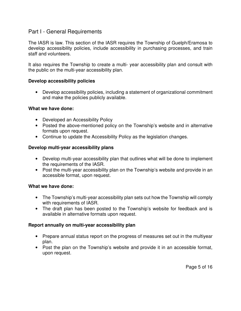## Part I - General Requirements

The IASR is law. This section of the IASR requires the Township of Guelph/Eramosa to develop accessibility policies, include accessibility in purchasing processes, and train staff and volunteers.

It also requires the Township to create a multi- year accessibility plan and consult with the public on the multi-year accessibility plan.

#### **Develop accessibility policies**

• Develop accessibility policies, including a statement of organizational commitment and make the policies publicly available.

#### **What we have done:**

- Developed an Accessibility Policy
- Posted the above-mentioned policy on the Township's website and in alternative formats upon request.
- Continue to update the Accessibility Policy as the legislation changes.

## **Develop multi-year accessibility plans**

- Develop multi-year accessibility plan that outlines what will be done to implement the requirements of the IASR.
- Post the multi-year accessibility plan on the Township's website and provide in an accessible format, upon request.

## **What we have done:**

- The Township's multi-year accessibility plan sets out how the Township will comply with requirements of IASR.
- The draft plan has been posted to the Township's website for feedback and is available in alternative formats upon request.

## **Report annually on multi-year accessibility plan**

- Prepare annual status report on the progress of measures set out in the multiyear plan.
- Post the plan on the Township's website and provide it in an accessible format, upon request.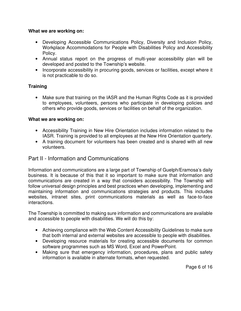#### **What we are working on:**

- Developing Accessible Communications Policy, Diversity and Inclusion Policy, Workplace Accommodations for People with Disabilities Policy and Accessibility Policy.
- Annual status report on the progress of multi-year accessibility plan will be developed and posted to the Township's website.
- Incorporate accessibility in procuring goods, services or facilities, except where it is not practicable to do so.

## **Training**

• Make sure that training on the IASR and the Human Rights Code as it is provided to employees, volunteers, persons who participate in developing policies and others who provide goods, services or facilities on behalf of the organization.

## **What we are working on:**

- Accessibility Training in New Hire Orientation includes information related to the IASR. Training is provided to all employees at the New Hire Orientation quarterly.
- A training document for volunteers has been created and is shared with all new volunteers.

# Part II - Information and Communications

Information and communications are a large part of Township of Guelph/Eramosa's daily business. It is because of this that it so important to make sure that information and communications are created in a way that considers accessibility. The Township will follow universal design principles and best practices when developing, implementing and maintaining information and communications strategies and products. This includes websites, intranet sites, print communications materials as well as face-to-face interactions.

The Township is committed to making sure information and communications are available and accessible to people with disabilities. We will do this by:

- Achieving compliance with the Web Content Accessibility Guidelines to make sure that both internal and external websites are accessible to people with disabilities.
- Developing resource materials for creating accessible documents for common software programmes such as MS Word, Excel and PowerPoint.
- Making sure that emergency information, procedures, plans and public safety information is available in alternate formats, when requested.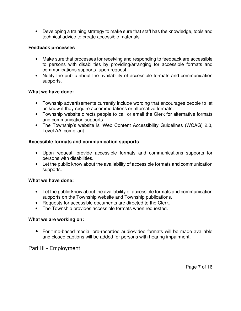• Developing a training strategy to make sure that staff has the knowledge, tools and technical advice to create accessible materials.

## **Feedback processes**

- Make sure that processes for receiving and responding to feedback are accessible to persons with disabilities by providing/arranging for accessible formats and communications supports, upon request.
- Notify the public about the availability of accessible formats and communication supports.

#### **What we have done:**

- Township advertisements currently include wording that encourages people to let us know if they require accommodations or alternative formats.
- Township website directs people to call or email the Clerk for alternative formats and communication supports.
- The Township's website is 'Web Content Accessibility Guidelines (WCAG) 2.0, Level AA' compliant.

## **Accessible formats and communication supports**

- Upon request, provide accessible formats and communications supports for persons with disabilities.
- Let the public know about the availability of accessible formats and communication supports.

## **What we have done:**

- Let the public know about the availability of accessible formats and communication supports on the Township website and Township publications.
- Requests for accessible documents are directed to the Clerk.
- The Township provides accessible formats when requested.

## **What we are working on:**

• For time-based media, pre-recorded audio/video formats will be made available and closed captions will be added for persons with hearing impairment.

Part III - Employment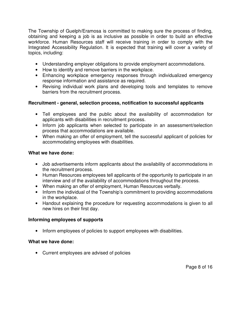The Township of Guelph/Eramosa is committed to making sure the process of finding, obtaining and keeping a job is as inclusive as possible in order to build an effective workforce. Human Resources staff will receive training in order to comply with the Integrated Accessibility Regulation. It is expected that training will cover a variety of topics, including:

- Understanding employer obligations to provide employment accommodations.
- How to identify and remove barriers in the workplace.
- Enhancing workplace emergency responses through individualized emergency response information and assistance as required.
- Revising individual work plans and developing tools and templates to remove barriers from the recruitment process.

## **Recruitment - general, selection process, notification to successful applicants**

- Tell employees and the public about the availability of accommodation for applicants with disabilities in recruitment process.
- Inform job applicants when selected to participate in an assessment/selection process that accommodations are available.
- When making an offer of employment, tell the successful applicant of policies for accommodating employees with disabilities.

## **What we have done:**

- Job advertisements inform applicants about the availability of accommodations in the recruitment process.
- Human Resources employees tell applicants of the opportunity to participate in an interview and of the availability of accommodations throughout the process.
- When making an offer of employment, Human Resources verbally.
- Inform the individual of the Township's commitment to providing accommodations in the workplace.
- Handout explaining the procedure for requesting accommodations is given to all new hires on their first day.

## **Informing employees of supports**

• Inform employees of policies to support employees with disabilities.

## **What we have done:**

• Current employees are advised of policies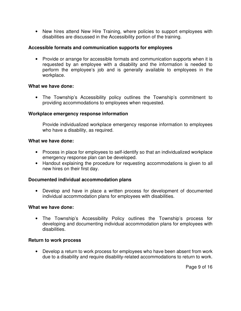• New hires attend New Hire Training, where policies to support employees with disabilities are discussed in the Accessibility portion of the training.

#### **Accessible formats and communication supports for employees**

• Provide or arrange for accessible formats and communication supports when it is requested by an employee with a disability and the information is needed to perform the employee's job and is generally available to employees in the workplace.

#### **What we have done:**

• The Township's Accessibility policy outlines the Township's commitment to providing accommodations to employees when requested.

#### **Workplace emergency response information**

Provide individualized workplace emergency response information to employees who have a disability, as required.

#### **What we have done:**

- Process in place for employees to self-identify so that an individualized workplace emergency response plan can be developed.
- Handout explaining the procedure for requesting accommodations is given to all new hires on their first day.

## **Documented individual accommodation plans**

• Develop and have in place a written process for development of documented individual accommodation plans for employees with disabilities.

#### **What we have done:**

• The Township's Accessibility Policy outlines the Township's process for developing and documenting individual accommodation plans for employees with disabilities.

#### **Return to work process**

• Develop a return to work process for employees who have been absent from work due to a disability and require disability-related accommodations to return to work.

Page 9 of 16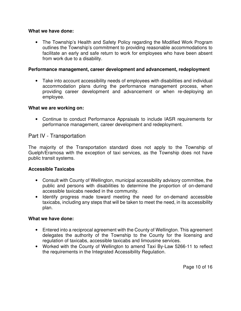#### **What we have done:**

• The Township's Health and Safety Policy regarding the Modified Work Program outlines the Township's commitment to providing reasonable accommodations to facilitate an early and safe return to work for employees who have been absent from work due to a disability.

#### **Performance management, career development and advancement, redeployment**

• Take into account accessibility needs of employees with disabilities and individual accommodation plans during the performance management process, when providing career development and advancement or when re-deploying an employee.

#### **What we are working on:**

• Continue to conduct Performance Appraisals to include IASR requirements for performance management, career development and redeployment.

## Part IV - Transportation

The majority of the Transportation standard does not apply to the Township of Guelph/Eramosa with the exception of taxi services, as the Township does not have public transit systems.

#### **Accessible Taxicabs**

- Consult with County of Wellington, municipal accessibility advisory committee, the public and persons with disabilities to determine the proportion of on-demand accessible taxicabs needed in the community.
- Identify progress made toward meeting the need for on-demand accessible taxicabs, including any steps that will be taken to meet the need, in its accessibility plan.

#### **What we have done:**

- Entered into a reciprocal agreement with the County of Wellington. This agreement delegates the authority of the Township to the County for the licensing and regulation of taxicabs, accessible taxicabs and limousine services.
- Worked with the County of Wellington to amend Taxi By-Law 5266-11 to reflect the requirements in the Integrated Accessibility Regulation.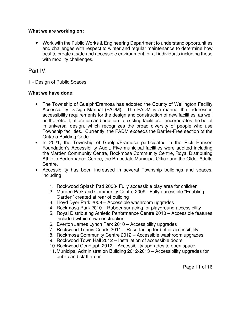#### **What we are working on:**

• Work with the Public Works & Engineering Department to understand opportunities and challenges with respect to winter and regular maintenance to determine how best to create a safe and accessible environment for all individuals including those with mobility challenges.

## Part IV.

1 - Design of Public Spaces

## **What we have done**:

- The Township of Guelph/Eramosa has adopted the County of Wellington Facility Accessibility Design Manual (FADM). The FADM is a manual that addresses accessibility requirements for the design and construction of new facilities, as well as the retrofit, alteration and addition to existing facilities. It incorporates the belief in universal design, which recognizes the broad diversity of people who use Township facilities. Currently, the FADM exceeds the Barrier-Free section of the Ontario Building Code.
- In 2021, the Township of Guelph/Eramosa participated in the Rick Hansen Foundation's Accessibility Audit. Five municipal facilities were audited including the Marden Community Centre, Rockmosa Community Centre, Royal Distributing Athletic Performance Centre, the Brucedale Municipal Office and the Older Adults Centre.
- Accessibility has been increased in several Township buildings and spaces, including:
	- 1. Rockwood Splash Pad 2008- Fully accessible play area for children
	- 2. Marden Park and Community Centre 2009 Fully accessible "Enabling Garden" created at rear of building
	- 3. Lloyd Dyer Park 2009 Accessible washroom upgrades
	- 4. Rockmosa Park 2010 Rubber surfacing for playground accessibility
	- 5. Royal Distributing Athletic Performance Centre 2010 Accessible features included within new construction
	- 6. Everton James Lynch Park 2010 Accessibility upgrades
	- 7. Rockwood Tennis Courts 2011 Resurfacing for better accessibility
	- 8. Rockmosa Community Centre 2012 Accessible washroom upgrades
	- 9. Rockwood Town Hall 2012 Installation of accessible doors
	- 10. Rockwood Cenotaph 2012 Accessibility upgrades to open space
	- 11. Municipal Administration Building 2012-2013 Accessibility upgrades for public and staff areas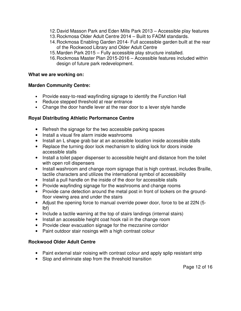- 12. David Masson Park and Eden Mills Park 2013 Accessible play features
- 13. Rockmosa Older Adult Centre 2014 Built to FADM standards.
- 14. Rockmosa Enabling Garden 2014- Full accessible garden built at the rear of the Rockwood Library and Older Adult Centre
- 15. Marden Park 2015 Fully accessible play structure installed.
- 16. Rockmosa Master Plan 2015-2016 Accessible features included within design of future park redevelopment.

#### **What we are working on:**

#### **Marden Community Centre:**

- Provide easy-to-read wayfinding signage to identify the Function Hall
- Reduce stepped threshold at rear entrance
- Change the door handle lever at the rear door to a lever style handle

## **Royal Distributing Athletic Performance Centre**

- Refresh the signage for the two accessible parking spaces
- Install a visual fire alarm inside washrooms
- Install an L shape grab bar at an accessible location inside accessible stalls
- Replace the turning door lock mechanism to sliding lock for doors inside accessible stalls
- Install a toilet paper dispenser to accessible height and distance from the toilet with open roll dispensers
- Install washroom and change room signage that is high contrast, includes Braille, tactile characters and utilizes the international symbol of accessibility
- Install a pull handle on the inside of the door for accessible stalls
- Provide wayfinding signage for the washrooms and change rooms
- Provide cane detection around the metal post in front of lockers on the groundfloor viewing area and under the stairs
- Adjust the opening force to manual override power door, force to be at 22N (5 lbf)
- Include a tactile warning at the top of stairs landings (internal stairs)
- Install an accessible height coat hook rail in the change room
- Provide clear evacuation signage for the mezzanine corridor
- Paint outdoor stair nosings with a high contrast colour

## **Rockwood Older Adult Centre**

- Paint external stair noising with contrast colour and apply splip resistant strip
- Slop and eliminate step from the threshold transition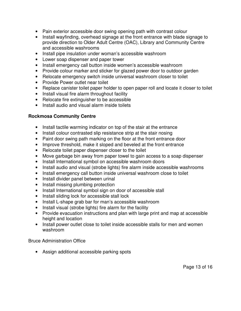- Pain exterior accessible door swing opening path with contrast colour
- Install wayfinding, overhead signage at the front entrance with blade signage to provide direction to Older Adult Centre (OAC), Library and Community Centre and accessible washrooms
- Install pipe insulation under woman's accessible washroom
- Lower soap dispenser and paper tower
- Install emergency call button inside women's accessible washroom
- Provide colour marker and sticker for glazed power door to outdoor garden
- Relocate emergency switch inside universal washroom closer to toilet
- Provide Power outlet near toilet
- Replace canister toilet paper holder to open paper roll and locate it closer to toilet
- Install visual fire alarm throughout facility
- Relocate fire extinguisher to be accessible
- Install audio and visual alarm inside toilets

## **Rockmosa Community Centre**

- Install tactile warming indicator on top of the stair at the entrance
- Install colour contrasted slip resistance strip at the stair nosing
- Paint door swing path marking on the floor at the front entrance door
- Improve threshold, make it sloped and beveled at the front entrance
- Relocate toilet paper dispenser closer to the toilet
- Move garbage bin away from paper towel to gain access to a soap dispenser
- Install International symbol on accessible washroom doors
- Install audio and visual (strobe lights) fire alarm inside accessible washrooms
- Install emergency call button inside universal washroom close to toilet
- Install divider panel between urinal
- Install missing plumbing protection
- Install International symbol sign on door of accessible stall
- Install sliding lock for accessible stall lock
- Install L-shape grab bar for man's accessible washroom
- Install visual (strobe lights) fire alarm for the facility
- Provide evacuation instructions and plan with large print and map at accessible height and location
- Install power outlet close to toilet inside accessible stalls for men and women washroom

Bruce Administration Office

• Assign additional accessible parking spots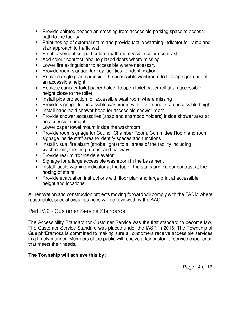- Provide painted pedestrian crossing from accessible parking space to access path to the facility
- Paint nosing of external stairs and provide tactile warming indicator for ramp and stair approach to traffic wat
- Paint basement support column with more visible colour contrast
- Add colour contrast label to glazed doors where missing
- Lower fire extinguisher to accessible where necessary
- Provide room signage for key facilities for identification
- Replace angle grab bar inside the accessible washroom to L-shape grab bar at an accessible height
- Replace canister toilet paper holder to open toilet paper roll at an accessible height close to the toilet
- Install pipe protection for accessible washroom where missing
- Provide signage for accessible washroom with braille and at an accessible height
- Install hand-held shower head for accessible shower room
- Provide shower accessories (soap and shampoo holders) inside shower area at an accessible height
- Lower paper towel mount inside the washroom
- Provide room signage for Council Chamber Room, Committee Room and room signage inside staff area to identify spaces and functions
- Install visual fire alarm (strobe lights) to all areas of the facility including washrooms, meeting rooms, and hallways
- Provide rear mirror inside elevator
- Signage for a large accessible washroom in the basement
- Install tactile warning indicator at the top of the stairs and colour contrast at the nosing of stairs
- Provide evacuation instructions with floor plan and large print at accessible height and locations

All renovation and construction projects moving forward will comply with the FADM where reasonable, special circumstances will be reviewed by the AAC.

# Part IV.2 - Customer Service Standards

The Accessibility Standard for Customer Service was the first standard to become law. The Customer Service Standard was placed under the IASR in 2016. The Township of Guelph/Eramosa is committed to making sure all customers receive accessible services in a timely manner. Members of the public will receive a fair customer service experience that meets their needs.

## **The Township will achieve this by:**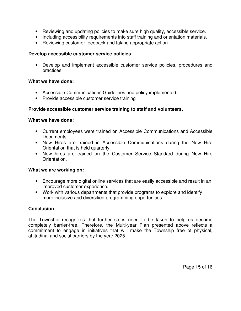- Reviewing and updating policies to make sure high quality, accessible service.
- Including accessibility requirements into staff training and orientation materials.
- Reviewing customer feedback and taking appropriate action.

#### **Develop accessible customer service policies**

• Develop and implement accessible customer service policies, procedures and practices.

#### **What we have done:**

- Accessible Communications Guidelines and policy implemented.
- Provide accessible customer service training

#### **Provide accessible customer service training to staff and volunteers.**

#### **What we have done:**

- Current employees were trained on Accessible Communications and Accessible Documents.
- New Hires are trained in Accessible Communications during the New Hire Orientation that is held quarterly.
- New hires are trained on the Customer Service Standard during New Hire Orientation.

#### **What we are working on:**

- Encourage more digital online services that are easily accessible and result in an improved customer experience.
- Work with various departments that provide programs to explore and identify more inclusive and diversified programming opportunities.

#### **Conclusion**

The Township recognizes that further steps need to be taken to help us become completely barrier-free. Therefore, the Multi-year Plan presented above reflects a commitment to engage in initiatives that will make the Township free of physical, attitudinal and social barriers by the year 2025.